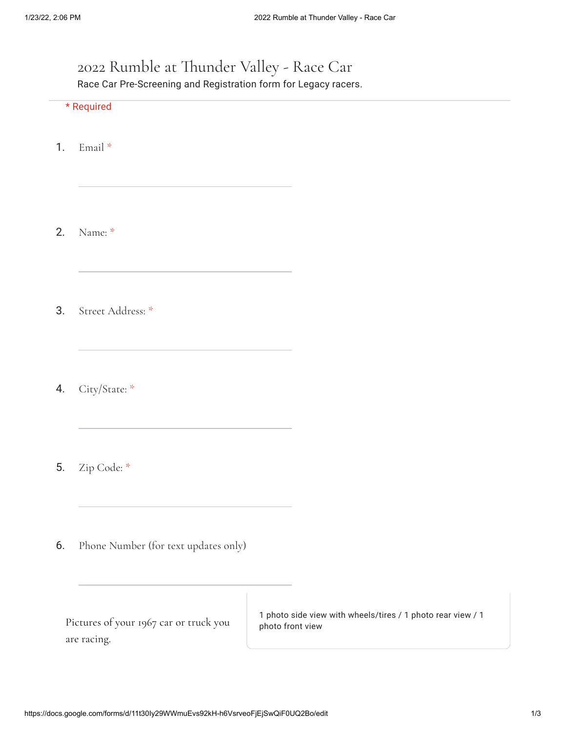## 2022 Rumble at Thunder Valley - Race Car Race Car Pre-Screening and Registration form for Legacy racers.

\* Required

1. Email \*

2. Name: \*

3. Street Address: \*

4. City/State: \*

5. Zip Code: \*

6. Phone Number (for text updates only)

Pictures of your 1967 car or truck you are racing.

1 photo side view with wheels/tires / 1 photo rear view / 1 photo front view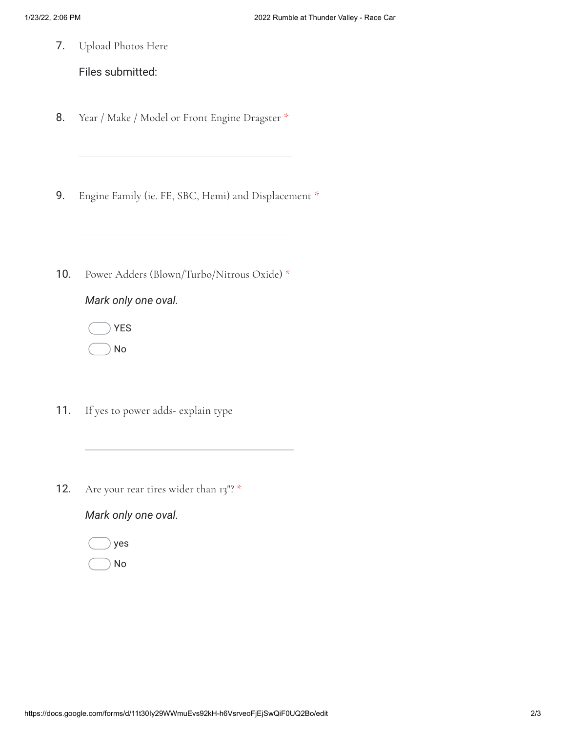7. Upload Photos Here

Files submitted:

- 8. Year / Make / Model or Front Engine Dragster \*
- 9. Engine Family (ie. FE, SBC, Hemi) and Displacement \*
- 10. Power Adders (Blown/Turbo/Nitrous Oxide) \*



YES

- No
- 11. If yes to power adds- explain type
- 12. Are your rear tires wider than 13"? \*

## *Mark only one oval.*